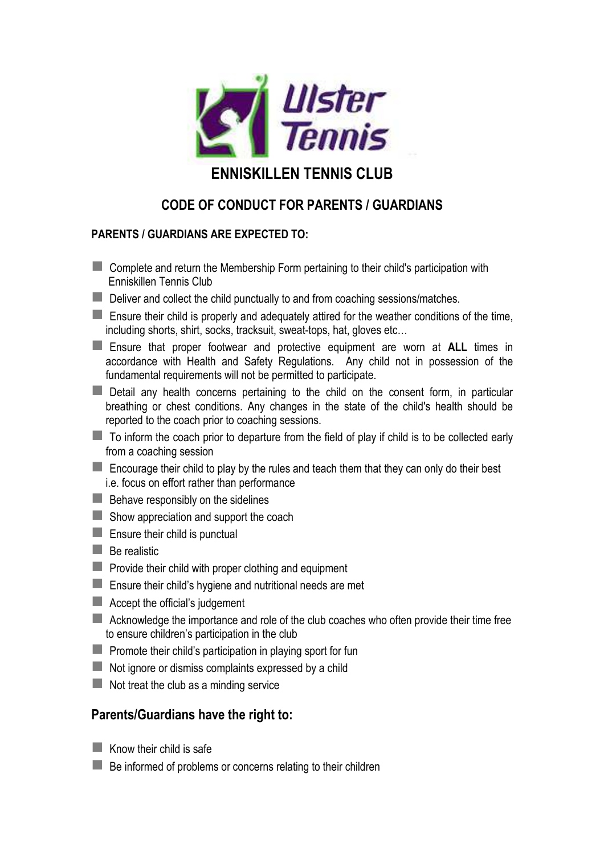

# **ENNISKILLEN TENNIS CLUB**

## **CODE OF CONDUCT FOR PARENTS / GUARDIANS**

### **PARENTS / GUARDIANS ARE EXPECTED TO:**

- **EX** Complete and return the Membership Form pertaining to their child's participation with Enniskillen Tennis Club
- Deliver and collect the child punctually to and from coaching sessions/matches.
- $\blacksquare$  Ensure their child is properly and adequately attired for the weather conditions of the time, including shorts, shirt, socks, tracksuit, sweat-tops, hat, gloves etc…
- Ensure that proper footwear and protective equipment are worn at **ALL** times in accordance with Health and Safety Regulations. Any child not in possession of the fundamental requirements will not be permitted to participate.
- Detail any health concerns pertaining to the child on the consent form, in particular breathing or chest conditions. Any changes in the state of the child's health should be reported to the coach prior to coaching sessions.
- $\blacksquare$  To inform the coach prior to departure from the field of play if child is to be collected early from a coaching session
- $\blacksquare$  Encourage their child to play by the rules and teach them that they can only do their best i.e. focus on effort rather than performance
- $\blacksquare$  Behave responsibly on the sidelines
- $\blacksquare$  Show appreciation and support the coach
- $\blacksquare$  Ensure their child is punctual
- $\blacksquare$  Be realistic
- $\blacksquare$  Provide their child with proper clothing and equipment
- **Ensure their child's hygiene and nutritional needs are met**
- $\blacksquare$  Accept the official's judgement
- **Acknowledge the importance and role of the club coaches who often provide their time free** to ensure children's participation in the club
- $\blacksquare$  Promote their child's participation in playing sport for fun
- $\blacksquare$  Not ignore or dismiss complaints expressed by a child
- $\blacksquare$  Not treat the club as a minding service

### **Parents/Guardians have the right to:**

- $\blacksquare$  Know their child is safe
- $\blacksquare$  Be informed of problems or concerns relating to their children